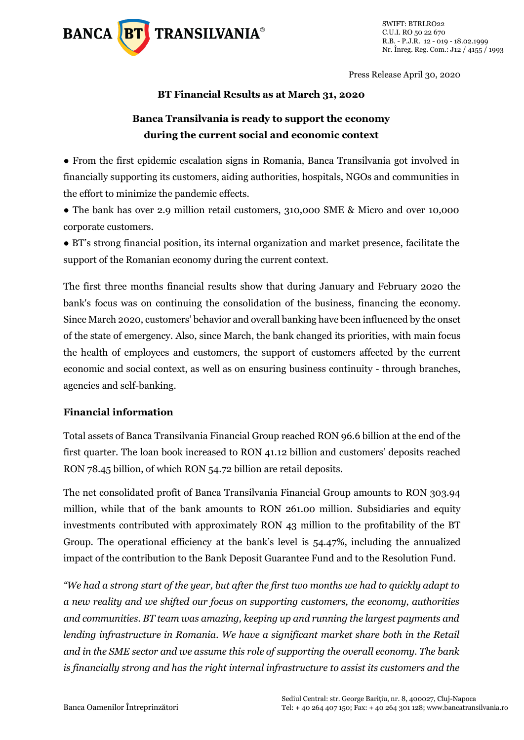

Press Release April 30, 2020

### **BT Financial Results as at March 31, 2020**

# **Banca Transilvania is ready to support the economy during the current social and economic context**

● From the first epidemic escalation signs in Romania, Banca Transilvania got involved in financially supporting its customers, aiding authorities, hospitals, NGOs and communities in the effort to minimize the pandemic effects.

• The bank has over 2.9 million retail customers, 310,000 SME & Micro and over 10,000 corporate customers.

● BT's strong financial position, its internal organization and market presence, facilitate the support of the Romanian economy during the current context.

The first three months financial results show that during January and February 2020 the bank's focus was on continuing the consolidation of the business, financing the economy. Since March 2020, customers' behavior and overall banking have been influenced by the onset of the state of emergency. Also, since March, the bank changed its priorities, with main focus the health of employees and customers, the support of customers affected by the current economic and social context, as well as on ensuring business continuity - through branches, agencies and self-banking.

## **Financial information**

Total assets of Banca Transilvania Financial Group reached RON 96.6 billion at the end of the first quarter. The loan book increased to RON 41.12 billion and customers' deposits reached RON 78.45 billion, of which RON 54.72 billion are retail deposits.

The net consolidated profit of Banca Transilvania Financial Group amounts to RON 303.94 million, while that of the bank amounts to RON 261.00 million. Subsidiaries and equity investments contributed with approximately RON 43 million to the profitability of the BT Group. The operational efficiency at the bank's level is 54.47%, including the annualized impact of the contribution to the Bank Deposit Guarantee Fund and to the Resolution Fund.

*"We had a strong start of the year, but after the first two months we had to quickly adapt to a new reality and we shifted our focus on supporting customers, the economy, authorities and communities. BT team was amazing, keeping up and running the largest payments and lending infrastructure in Romania. We have a significant market share both in the Retail and in the SME sector and we assume this role of supporting the overall economy. The bank is financially strong and has the right internal infrastructure to assist its customers and the*